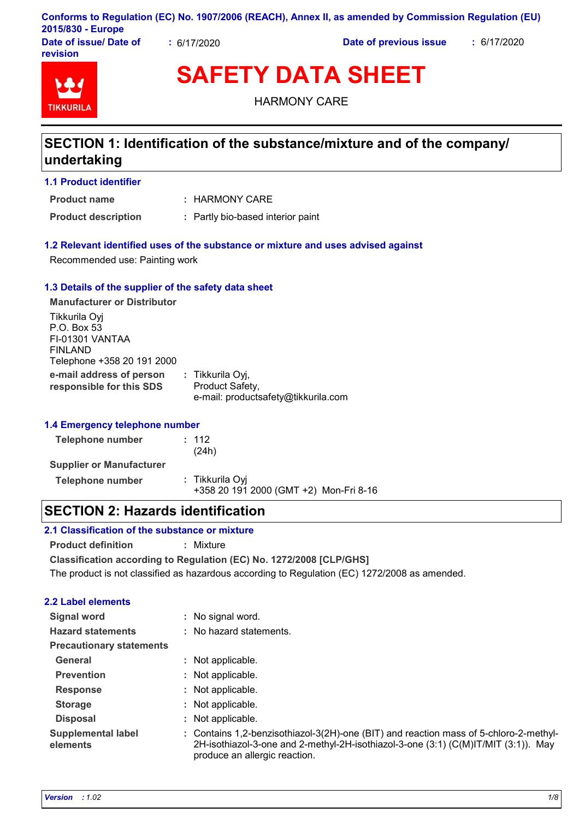|                        |                  | Conforms to Regulation (EC) No. 1907/2006 (REACH), Annex II, as amended by Commission Regulation (EU) |             |
|------------------------|------------------|-------------------------------------------------------------------------------------------------------|-------------|
| 2015/830 - Europe      |                  |                                                                                                       |             |
| Date of issue/ Date of | $\div$ 6/17/2020 | Date of previous issue                                                                                | : 6/17/2020 |

**Date of issue/ Date of revision**



**SAFETY DATA SHEET**

HARMONY CARE

# **SECTION 1: Identification of the substance/mixture and of the company/ undertaking**

**1.1 Product identifier**

**Product name**

: HARMONY CARE

**Product description :** Partly bio-based interior paint

### **1.2 Relevant identified uses of the substance or mixture and uses advised against**

Recommended use: Painting work

#### **1.3 Details of the supplier of the safety data sheet**

**e-mail address of person responsible for this SDS :** Tikkurila Oyj, Product Safety, e-mail: productsafety@tikkurila.com **Manufacturer or Distributor** Tikkurila Oyj P.O. Box 53 FI-01301 VANTAA FINLAND Telephone +358 20 191 2000

#### **1.4 Emergency telephone number**

| Telephone number                | : 112<br>(24h)                                            |
|---------------------------------|-----------------------------------------------------------|
| <b>Supplier or Manufacturer</b> |                                                           |
| Telephone number                | : Tikkurila Oyi<br>+358 20 191 2000 (GMT +2) Mon-Fri 8-16 |

# **SECTION 2: Hazards identification**

## **2.1 Classification of the substance or mixture**

**Product definition :** Mixture

**Classification according to Regulation (EC) No. 1272/2008 [CLP/GHS]**

The product is not classified as hazardous according to Regulation (EC) 1272/2008 as amended.

## **2.2 Label elements**

| : Contains 1,2-benzisothiazol-3(2H)-one (BIT) and reaction mass of 5-chloro-2-methyl-<br>2H-isothiazol-3-one and 2-methyl-2H-isothiazol-3-one (3:1) (C(M)IT/MIT (3:1)). May |
|-----------------------------------------------------------------------------------------------------------------------------------------------------------------------------|
|                                                                                                                                                                             |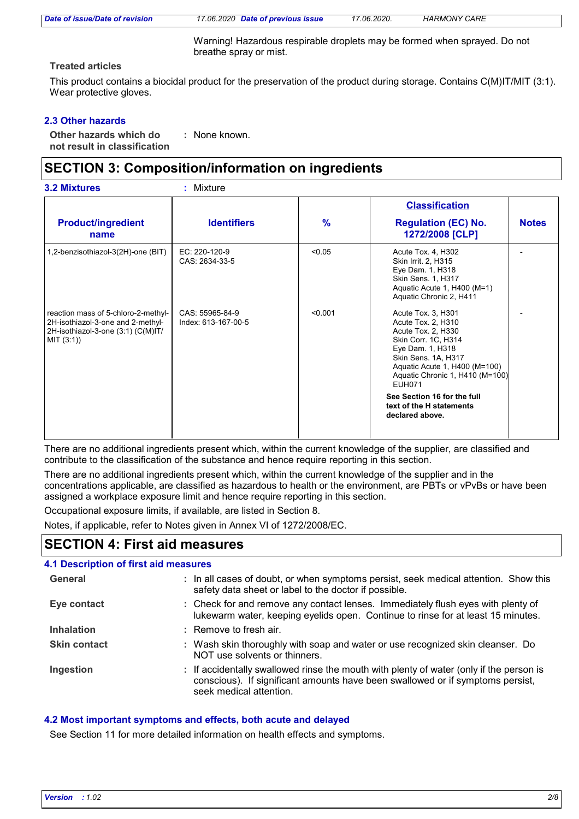| Date of issue/Date of revision |  |  |  |  |
|--------------------------------|--|--|--|--|
|--------------------------------|--|--|--|--|

*Date of issue/Date of revision 17.06.2020 Date of previous issue 17.06.2020. HARMONY CARE*

Warning! Hazardous respirable droplets may be formed when sprayed. Do not breathe spray or mist.

## **Treated articles**

This product contains a biocidal product for the preservation of the product during storage. Contains C(M)IT/MIT (3:1). Wear protective gloves.

# **2.3 Other hazards**

**Other hazards which do : not result in classification** None known.

# **SECTION 3: Composition/information on ingredients**

|                                                                                                                              |                                        |               | <b>Classification</b>                                                                                                                                                                                                 |              |
|------------------------------------------------------------------------------------------------------------------------------|----------------------------------------|---------------|-----------------------------------------------------------------------------------------------------------------------------------------------------------------------------------------------------------------------|--------------|
| <b>Product/ingredient</b><br>name                                                                                            | <b>Identifiers</b>                     | $\frac{9}{6}$ | <b>Regulation (EC) No.</b><br>1272/2008 [CLP]                                                                                                                                                                         | <b>Notes</b> |
| 1,2-benzisothiazol-3(2H)-one (BIT)                                                                                           | EC: 220-120-9<br>CAS: 2634-33-5        | < 0.05        | Acute Tox. 4, H302<br>Skin Irrit. 2, H315<br>Eye Dam. 1, H318<br>Skin Sens. 1, H317<br>Aquatic Acute 1, H400 (M=1)<br>Aquatic Chronic 2, H411                                                                         |              |
| reaction mass of 5-chloro-2-methyl-<br>2H-isothiazol-3-one and 2-methyl-<br>2H-isothiazol-3-one (3:1) (C(M)IT/<br>MIT (3:1)) | CAS: 55965-84-9<br>Index: 613-167-00-5 | < 0.001       | Acute Tox. 3, H301<br>Acute Tox. 2, H310<br>Acute Tox. 2, H330<br>Skin Corr. 1C, H314<br>Eye Dam. 1, H318<br>Skin Sens. 1A, H317<br>Aquatic Acute 1, H400 (M=100)<br>Aquatic Chronic 1, H410 (M=100)<br><b>EUH071</b> |              |
|                                                                                                                              |                                        |               | See Section 16 for the full<br>text of the H statements<br>declared above.                                                                                                                                            |              |

There are no additional ingredients present which, within the current knowledge of the supplier, are classified and contribute to the classification of the substance and hence require reporting in this section.

There are no additional ingredients present which, within the current knowledge of the supplier and in the concentrations applicable, are classified as hazardous to health or the environment, are PBTs or vPvBs or have been assigned a workplace exposure limit and hence require reporting in this section.

Occupational exposure limits, if available, are listed in Section 8.

Notes, if applicable, refer to Notes given in Annex VI of 1272/2008/EC.

# **SECTION 4: First aid measures**

# **4.1 Description of first aid measures**

| General             | : In all cases of doubt, or when symptoms persist, seek medical attention. Show this<br>safety data sheet or label to the doctor if possible.                                                        |
|---------------------|------------------------------------------------------------------------------------------------------------------------------------------------------------------------------------------------------|
| Eye contact         | : Check for and remove any contact lenses. Immediately flush eyes with plenty of<br>lukewarm water, keeping eyelids open. Continue to rinse for at least 15 minutes.                                 |
| <b>Inhalation</b>   | $:$ Remove to fresh air.                                                                                                                                                                             |
| <b>Skin contact</b> | : Wash skin thoroughly with soap and water or use recognized skin cleanser. Do<br>NOT use solvents or thinners.                                                                                      |
| Ingestion           | : If accidentally swallowed rinse the mouth with plenty of water (only if the person is<br>conscious). If significant amounts have been swallowed or if symptoms persist,<br>seek medical attention. |

# **4.2 Most important symptoms and effects, both acute and delayed**

See Section 11 for more detailed information on health effects and symptoms.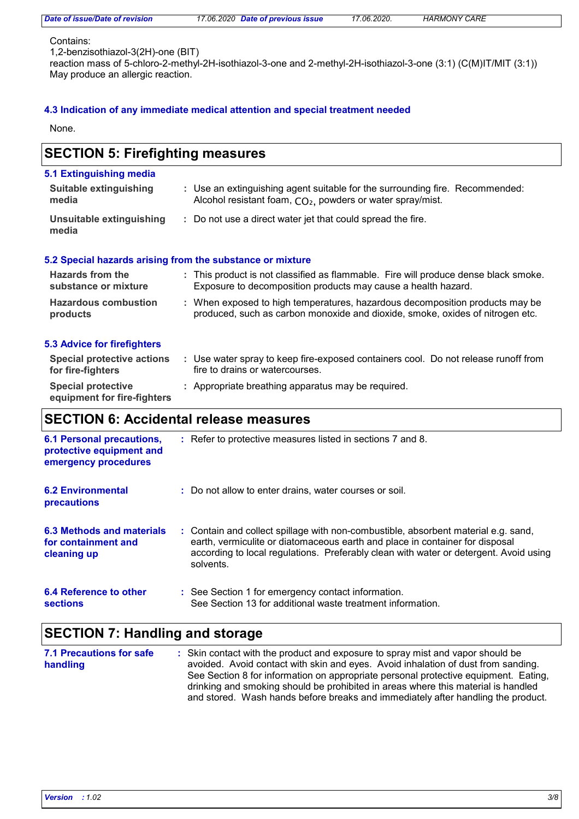| Date of issue/Date of revision |  |  |  |  |
|--------------------------------|--|--|--|--|
|                                |  |  |  |  |

*Date of issue/Date of revision 17.06.2020 Date of previous issue 17.06.2020. HARMONY CARE*

#### Contains:

1,2-benzisothiazol-3(2H)-one (BIT)

reaction mass of 5-chloro-2-methyl-2H-isothiazol-3-one and 2-methyl-2H-isothiazol-3-one (3:1) (C(M)IT/MIT (3:1)) May produce an allergic reaction.

### **4.3 Indication of any immediate medical attention and special treatment needed**

None.

#### Use water spray to keep fire-exposed containers cool. Do not release runoff from **:** fire to drains or watercourses. **Hazardous combustion products Hazards from the substance or mixture** When exposed to high temperatures, hazardous decomposition products may be **:** produced, such as carbon monoxide and dioxide, smoke, oxides of nitrogen etc. This product is not classified as flammable. Fire will produce dense black smoke. **:** Exposure to decomposition products may cause a health hazard. **Special protective :** Appropriate breathing apparatus may be required. **equipment for fire-fighters** Use an extinguishing agent suitable for the surrounding fire. Recommended: **:** Alcohol resistant foam,  $CO<sub>2</sub>$ , powders or water spray/mist. **5.1 Extinguishing media** Do not use a direct water jet that could spread the fire. **: Suitable extinguishing media Unsuitable extinguishing media SECTION 5: Firefighting measures 5.2 Special hazards arising from the substance or mixture 5.3 Advice for firefighters Special protective actions for fire-fighters 6.2 Environmental precautions** Do not allow to enter drains, water courses or soil. **:** Contain and collect spillage with non-combustible, absorbent material e.g. sand, **:** earth, vermiculite or diatomaceous earth and place in container for disposal **6.3 Methods and materials for containment and SECTION 6: Accidental release measures 6.1 Personal precautions, protective equipment and emergency procedures** Refer to protective measures listed in sections 7 and 8. **:**

| 6.4 Reference to other | : See Section 1 for emergency contact information.         |
|------------------------|------------------------------------------------------------|
| sections               | See Section 13 for additional waste treatment information. |

solvents.

# **SECTION 7: Handling and storage**

| 7.1 Precautions for safe | : Skin contact with the product and exposure to spray mist and vapor should be      |
|--------------------------|-------------------------------------------------------------------------------------|
| handling                 | avoided. Avoid contact with skin and eyes. Avoid inhalation of dust from sanding.   |
|                          | See Section 8 for information on appropriate personal protective equipment. Eating, |
|                          | drinking and smoking should be prohibited in areas where this material is handled   |
|                          | and stored. Wash hands before breaks and immediately after handling the product.    |

according to local regulations. Preferably clean with water or detergent. Avoid using

**cleaning up**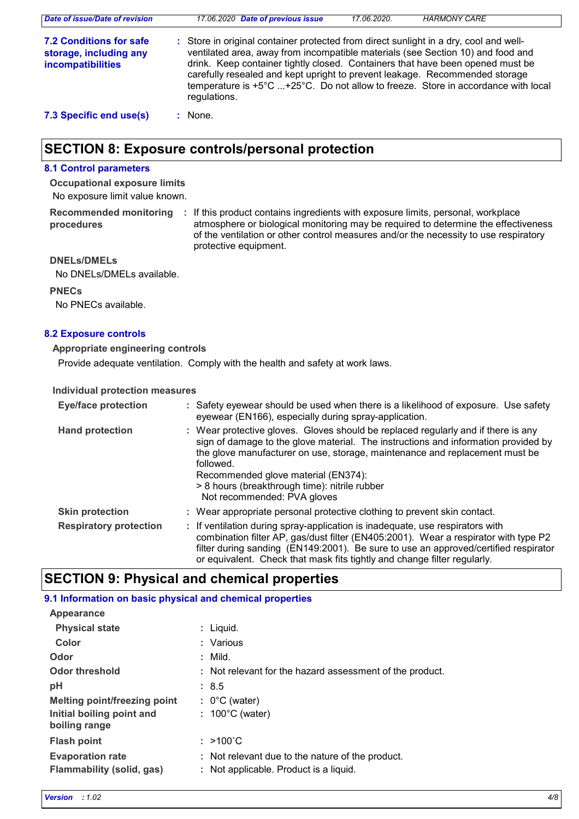| Date of issue/Date of revision                                                | 17.06.2020 Date of previous issue                                                                                                                                                                                                                                                                                                                                                                                                              | 17.06.2020. | <b>HARMONY CARE</b> |
|-------------------------------------------------------------------------------|------------------------------------------------------------------------------------------------------------------------------------------------------------------------------------------------------------------------------------------------------------------------------------------------------------------------------------------------------------------------------------------------------------------------------------------------|-------------|---------------------|
| <b>7.2 Conditions for safe</b><br>storage, including any<br>incompatibilities | : Store in original container protected from direct sunlight in a dry, cool and well-<br>ventilated area, away from incompatible materials (see Section 10) and food and<br>drink. Keep container tightly closed. Containers that have been opened must be<br>carefully resealed and kept upright to prevent leakage. Recommended storage<br>temperature is +5°C +25°C. Do not allow to freeze. Store in accordance with local<br>regulations. |             |                     |
| 7.3 Specific end use(s)                                                       | None.                                                                                                                                                                                                                                                                                                                                                                                                                                          |             |                     |

# **SECTION 8: Exposure controls/personal protection**

## **8.1 Control parameters**

No exposure limit value known. **Occupational exposure limits**

**procedures**

Recommended monitoring : If this product contains ingredients with exposure limits, personal, workplace atmosphere or biological monitoring may be required to determine the effectiveness of the ventilation or other control measures and/or the necessity to use respiratory protective equipment.

### **DNELs/DMELs**

No DNELs/DMELs available.

#### **PNECs**

No PNECs available.

#### **8.2 Exposure controls**

#### **Appropriate engineering controls**

Provide adequate ventilation. Comply with the health and safety at work laws.

#### **Individual protection measures**

| <b>Eye/face protection</b>    | : Safety eyewear should be used when there is a likelihood of exposure. Use safety<br>eyewear (EN166), especially during spray-application.                                                                                                                                                                                                                                                |
|-------------------------------|--------------------------------------------------------------------------------------------------------------------------------------------------------------------------------------------------------------------------------------------------------------------------------------------------------------------------------------------------------------------------------------------|
| <b>Hand protection</b>        | : Wear protective gloves. Gloves should be replaced regularly and if there is any<br>sign of damage to the glove material. The instructions and information provided by<br>the glove manufacturer on use, storage, maintenance and replacement must be<br>followed.<br>Recommended glove material (EN374):<br>> 8 hours (breakthrough time): nitrile rubber<br>Not recommended: PVA gloves |
| <b>Skin protection</b>        | : Wear appropriate personal protective clothing to prevent skin contact.                                                                                                                                                                                                                                                                                                                   |
| <b>Respiratory protection</b> | : If ventilation during spray-application is inadequate, use respirators with<br>combination filter AP, gas/dust filter (EN405:2001). Wear a respirator with type P2<br>filter during sanding (EN149:2001). Be sure to use an approved/certified respirator<br>or equivalent. Check that mask fits tightly and change filter regularly.                                                    |

# **SECTION 9: Physical and chemical properties**

#### **9.1 Information on basic physical and chemical properties**

| Appearance                                           |                                                                                            |
|------------------------------------------------------|--------------------------------------------------------------------------------------------|
| <b>Physical state</b>                                | : Liquid.                                                                                  |
| Color                                                | : Various                                                                                  |
| Odor                                                 | $:$ Mild.                                                                                  |
| <b>Odor threshold</b>                                | : Not relevant for the hazard assessment of the product.                                   |
| pH                                                   | : 8.5                                                                                      |
| Melting point/freezing point                         | $: 0^{\circ}$ C (water)                                                                    |
| Initial boiling point and<br>boiling range           | $: 100^{\circ}$ C (water)                                                                  |
| <b>Flash point</b>                                   | $: >100^{\circ}$ C                                                                         |
| <b>Evaporation rate</b><br>Flammability (solid, gas) | : Not relevant due to the nature of the product.<br>: Not applicable. Product is a liquid. |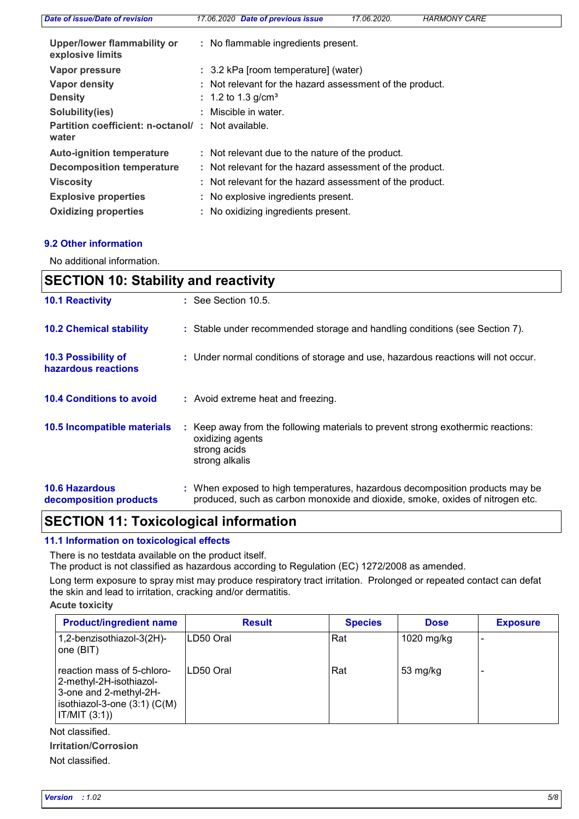| Date of issue/Date of revision                             | 17.06.2020 Date of previous issue<br>17.06.2020.<br><b>HARMONY CARE</b> |
|------------------------------------------------------------|-------------------------------------------------------------------------|
| <b>Upper/lower flammability or</b><br>explosive limits     | : No flammable ingredients present.                                     |
| Vapor pressure                                             | : 3.2 kPa [room temperature] (water)                                    |
| Vapor density                                              | : Not relevant for the hazard assessment of the product.                |
| <b>Density</b>                                             | : 1.2 to 1.3 g/cm <sup>3</sup>                                          |
| Solubility(ies)                                            | : Miscible in water.                                                    |
| Partition coefficient: n-octanol/: Not available.<br>water |                                                                         |
| <b>Auto-ignition temperature</b>                           | : Not relevant due to the nature of the product.                        |
| <b>Decomposition temperature</b>                           | : Not relevant for the hazard assessment of the product.                |
| <b>Viscosity</b>                                           | : Not relevant for the hazard assessment of the product.                |
| <b>Explosive properties</b>                                | : No explosive ingredients present.                                     |
| <b>Oxidizing properties</b>                                | : No oxidizing ingredients present.                                     |

## **9.2 Other information**

No additional information.

| <b>SECTION 10: Stability and reactivity</b>     |                                                                                                                                                               |  |
|-------------------------------------------------|---------------------------------------------------------------------------------------------------------------------------------------------------------------|--|
| <b>10.1 Reactivity</b>                          | $\therefore$ See Section 10.5.                                                                                                                                |  |
| <b>10.2 Chemical stability</b>                  | : Stable under recommended storage and handling conditions (see Section 7).                                                                                   |  |
| 10.3 Possibility of<br>hazardous reactions      | : Under normal conditions of storage and use, hazardous reactions will not occur.                                                                             |  |
| <b>10.4 Conditions to avoid</b>                 | : Avoid extreme heat and freezing.                                                                                                                            |  |
| 10.5 Incompatible materials                     | : Keep away from the following materials to prevent strong exothermic reactions:<br>oxidizing agents<br>strong acids<br>strong alkalis                        |  |
| <b>10.6 Hazardous</b><br>decomposition products | : When exposed to high temperatures, hazardous decomposition products may be<br>produced, such as carbon monoxide and dioxide, smoke, oxides of nitrogen etc. |  |

# **SECTION 11: Toxicological information**

### **11.1 Information on toxicological effects**

There is no testdata available on the product itself.

The product is not classified as hazardous according to Regulation (EC) 1272/2008 as amended.

Long term exposure to spray mist may produce respiratory tract irritation. Prolonged or repeated contact can defat the skin and lead to irritation, cracking and/or dermatitis.

#### **Acute toxicity**

| <b>Product/ingredient name</b>                                                                                                   | <b>Result</b> | <b>Species</b> | <b>Dose</b> | <b>Exposure</b> |
|----------------------------------------------------------------------------------------------------------------------------------|---------------|----------------|-------------|-----------------|
| 1,2-benzisothiazol-3(2H)-<br>one (BIT)                                                                                           | ILD50 Oral    | Rat            | 1020 mg/kg  |                 |
| reaction mass of 5-chloro-<br>2-methyl-2H-isothiazol-<br>3-one and 2-methyl-2H-<br>$isothiazol-3-one(3:1)(C(M))$<br> IT/MIT(3:1) | ILD50 Oral    | Rat            | 53 mg/kg    |                 |

Not classified.

#### **Irritation/Corrosion**

Not classified.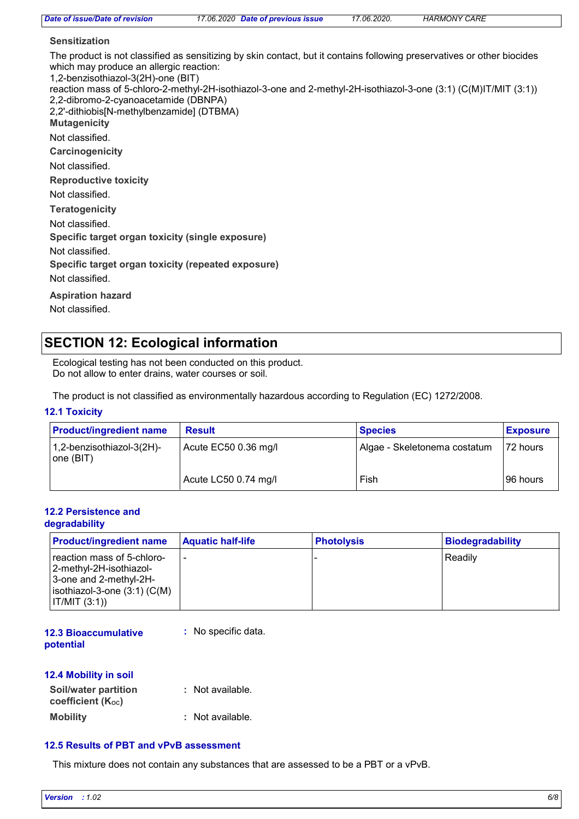| Date of issue/Date of revision                                                                                                                                                            | 17.06.2020 Date of previous issue                                                                                                                                                                                                           | 17.06.2020. | <b>HARMONY CARE</b> |  |
|-------------------------------------------------------------------------------------------------------------------------------------------------------------------------------------------|---------------------------------------------------------------------------------------------------------------------------------------------------------------------------------------------------------------------------------------------|-------------|---------------------|--|
| <b>Sensitization</b>                                                                                                                                                                      |                                                                                                                                                                                                                                             |             |                     |  |
| which may produce an allergic reaction:<br>1,2-benzisothiazol-3(2H)-one (BIT)<br>2,2-dibromo-2-cyanoacetamide (DBNPA)<br>2,2'-dithiobis[N-methylbenzamide] (DTBMA)<br><b>Mutagenicity</b> | The product is not classified as sensitizing by skin contact, but it contains following preservatives or other biocides<br>reaction mass of 5-chloro-2-methyl-2H-isothiazol-3-one and 2-methyl-2H-isothiazol-3-one (3:1) (C(M)IT/MIT (3:1)) |             |                     |  |
| Not classified.                                                                                                                                                                           |                                                                                                                                                                                                                                             |             |                     |  |
| Carcinogenicity                                                                                                                                                                           |                                                                                                                                                                                                                                             |             |                     |  |
| Not classified.                                                                                                                                                                           |                                                                                                                                                                                                                                             |             |                     |  |
| <b>Reproductive toxicity</b>                                                                                                                                                              |                                                                                                                                                                                                                                             |             |                     |  |
| Not classified.                                                                                                                                                                           |                                                                                                                                                                                                                                             |             |                     |  |
| <b>Teratogenicity</b>                                                                                                                                                                     |                                                                                                                                                                                                                                             |             |                     |  |
| Not classified.                                                                                                                                                                           |                                                                                                                                                                                                                                             |             |                     |  |
| Specific target organ toxicity (single exposure)                                                                                                                                          |                                                                                                                                                                                                                                             |             |                     |  |
| Not classified.                                                                                                                                                                           |                                                                                                                                                                                                                                             |             |                     |  |
| Specific target organ toxicity (repeated exposure)                                                                                                                                        |                                                                                                                                                                                                                                             |             |                     |  |
| Not classified.                                                                                                                                                                           |                                                                                                                                                                                                                                             |             |                     |  |
| <b>Aspiration hazard</b>                                                                                                                                                                  |                                                                                                                                                                                                                                             |             |                     |  |
| Not classified.                                                                                                                                                                           |                                                                                                                                                                                                                                             |             |                     |  |
|                                                                                                                                                                                           |                                                                                                                                                                                                                                             |             |                     |  |

# **SECTION 12: Ecological information**

Ecological testing has not been conducted on this product. Do not allow to enter drains, water courses or soil.

The product is not classified as environmentally hazardous according to Regulation (EC) 1272/2008.

### **12.1 Toxicity**

| <b>Product/ingredient name</b>         | <b>Result</b>        | <b>Species</b>               | <b>Exposure</b> |
|----------------------------------------|----------------------|------------------------------|-----------------|
| 1,2-benzisothiazol-3(2H)-<br>one (BIT) | Acute EC50 0.36 mg/l | Algae - Skeletonema costatum | 72 hours        |
|                                        | Acute LC50 0.74 mg/l | Fish                         | 96 hours        |

#### **12.2 Persistence and degradability**

| <b>Product/ingredient name</b>                                                                                                     | <b>Aquatic half-life</b> | <b>Photolysis</b> | Biodegradability |
|------------------------------------------------------------------------------------------------------------------------------------|--------------------------|-------------------|------------------|
| reaction mass of 5-chloro-<br>2-methyl-2H-isothiazol-<br>3-one and 2-methyl-2H-<br>$ isothiazol-3-one(3:1)(C(M)) $<br> IT/MIT(3:1) |                          |                   | Readily          |

| <b>12.3 Bioaccumulative</b> | : No specific data. |
|-----------------------------|---------------------|
| potential                   |                     |

#### **12.4 Mobility in soil**

| <b>Soil/water partition</b><br>coefficient (Koc) | : Not available. |
|--------------------------------------------------|------------------|
| <b>Mobility</b>                                  | : Not available. |

## **12.5 Results of PBT and vPvB assessment**

This mixture does not contain any substances that are assessed to be a PBT or a vPvB.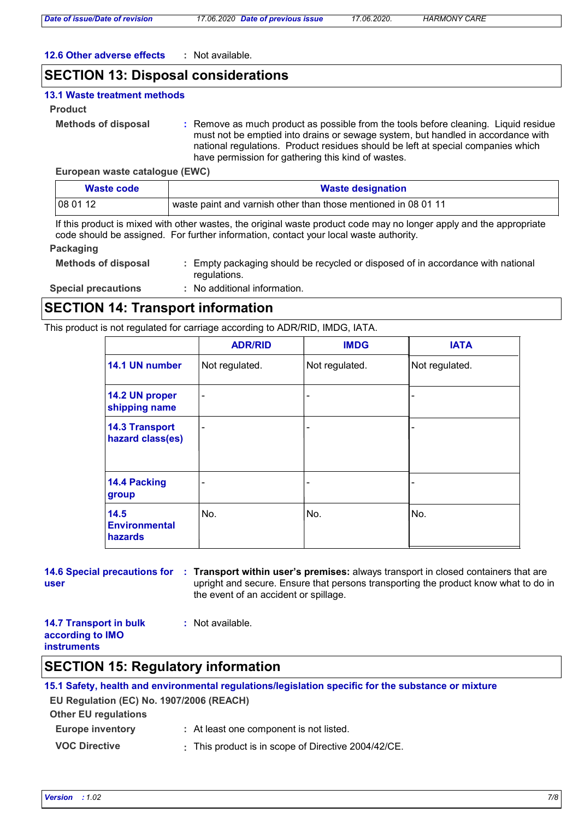*Date of issue/Date of revision 17.06.2020 Date of previous issue 17.06.2020. HARMONY CARE*

#### **12.6 Other adverse effects :** Not available.

## **SECTION 13: Disposal considerations**

#### **13.1 Waste treatment methods**

#### **Product**

- **Methods of disposal :**
- Remove as much product as possible from the tools before cleaning. Liquid residue must not be emptied into drains or sewage system, but handled in accordance with national regulations. Product residues should be left at special companies which have permission for gathering this kind of wastes.

#### **European waste catalogue (EWC)**

| Waste code       | <b>Waste designation</b>                                       |  |
|------------------|----------------------------------------------------------------|--|
| $ 080112\rangle$ | waste paint and varnish other than those mentioned in 08 01 11 |  |

If this product is mixed with other wastes, the original waste product code may no longer apply and the appropriate code should be assigned. For further information, contact your local waste authority.

#### **Packaging**

| <b>Methods of disposal</b> | : Empty packaging should be recycled or disposed of in accordance with national |
|----------------------------|---------------------------------------------------------------------------------|
|                            | regulations.                                                                    |

**Special precautions :** No additional information.

## **SECTION 14: Transport information**

This product is not regulated for carriage according to ADR/RID, IMDG, IATA.

|                                           | <b>ADR/RID</b>           | <b>IMDG</b>    | <b>IATA</b>    |
|-------------------------------------------|--------------------------|----------------|----------------|
| 14.1 UN number                            | Not regulated.           | Not regulated. | Not regulated. |
| 14.2 UN proper<br>shipping name           | $\overline{a}$           |                |                |
| <b>14.3 Transport</b><br>hazard class(es) | $\overline{\phantom{0}}$ |                |                |
| 14.4 Packing<br>group                     | -                        |                |                |
| 14.5<br><b>Environmental</b><br>hazards   | No.                      | No.            | No.            |

#### **14.6 Special precautions for : Transport within user's premises: always transport in closed containers that are user** upright and secure. Ensure that persons transporting the product know what to do in the event of an accident or spillage.

#### **14.7 Transport in bulk according to IMO instruments :** Not available.

## **SECTION 15: Regulatory information**

## **15.1 Safety, health and environmental regulations/legislation specific for the substance or mixture**

**EU Regulation (EC) No. 1907/2006 (REACH)**

| <b>Other EU regulations</b> |                                                     |
|-----------------------------|-----------------------------------------------------|
| <b>Europe inventory</b>     | : At least one component is not listed.             |
| <b>VOC Directive</b>        | : This product is in scope of Directive 2004/42/CE. |